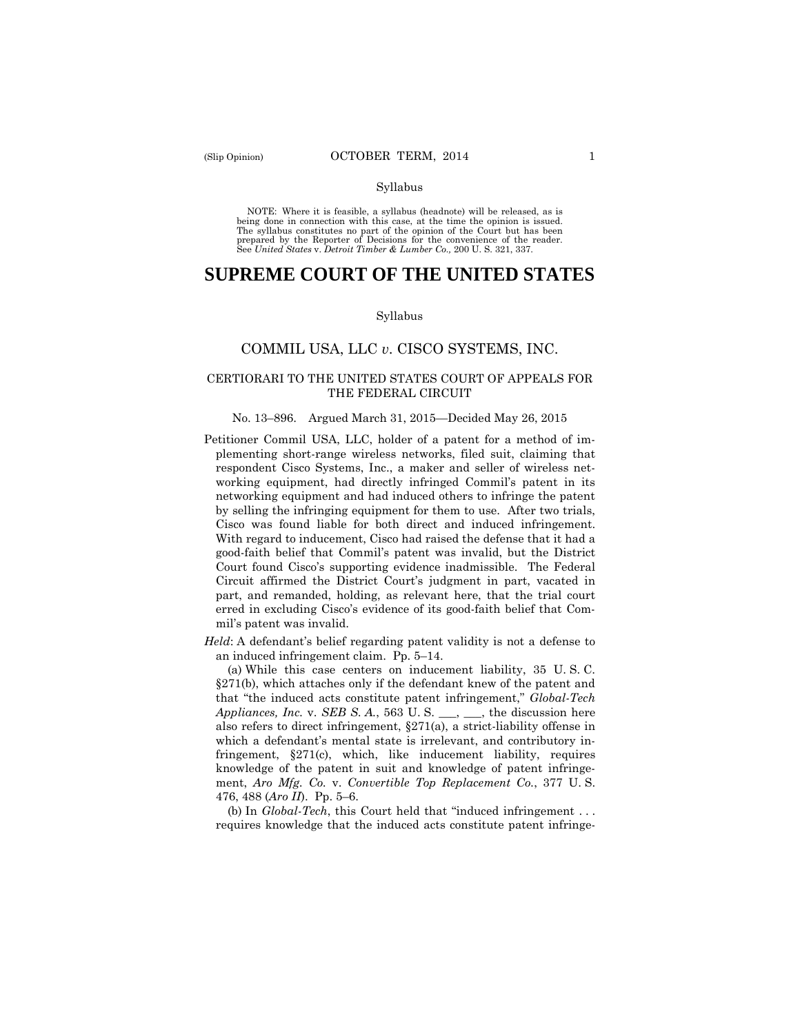#### Syllabus

 NOTE: Where it is feasible, a syllabus (headnote) will be released, as is being done in connection with this case, at the time the opinion is issued. The syllabus constitutes no part of the opinion of the Court but has been<br>prepared by the Reporter of Decisions for the convenience of the reader.<br>See United States v. Detroit Timber & Lumber Co., 200 U. S. 321, 337.

# **SUPREME COURT OF THE UNITED STATES**

#### Syllabus

### COMMIL USA, LLC *v*. CISCO SYSTEMS, INC.

### CERTIORARI TO THE UNITED STATES COURT OF APPEALS FOR THE FEDERAL CIRCUIT

#### No. 13–896. Argued March 31, 2015—Decided May 26, 2015

 Cisco was found liable for both direct and induced infringement. Petitioner Commil USA, LLC, holder of a patent for a method of implementing short-range wireless networks, filed suit, claiming that respondent Cisco Systems, Inc., a maker and seller of wireless networking equipment, had directly infringed Commil's patent in its networking equipment and had induced others to infringe the patent by selling the infringing equipment for them to use. After two trials, With regard to inducement, Cisco had raised the defense that it had a good-faith belief that Commil's patent was invalid, but the District Court found Cisco's supporting evidence inadmissible. The Federal Circuit affirmed the District Court's judgment in part, vacated in part, and remanded, holding, as relevant here, that the trial court erred in excluding Cisco's evidence of its good-faith belief that Commil's patent was invalid.

*Held*: A defendant's belief regarding patent validity is not a defense to an induced infringement claim. Pp. 5–14.

(a) While this case centers on inducement liability, 35 U. S. C. §271(b), which attaches only if the defendant knew of the patent and that "the induced acts constitute patent infringement," *Global-Tech Appliances, Inc.* v. *SEB S. A.*, 563 U. S. \_\_\_, \_\_\_, the discussion here also refers to direct infringement, §271(a), a strict-liability offense in which a defendant's mental state is irrelevant, and contributory infringement, §271(c), which, like inducement liability, requires knowledge of the patent in suit and knowledge of patent infringement, *Aro Mfg. Co.* v. *Convertible Top Replacement Co.*, 377 U. S. 476, 488 (*Aro II*). Pp. 5–6.

(b) In *Global-Tech*, this Court held that "induced infringement . . . requires knowledge that the induced acts constitute patent infringe-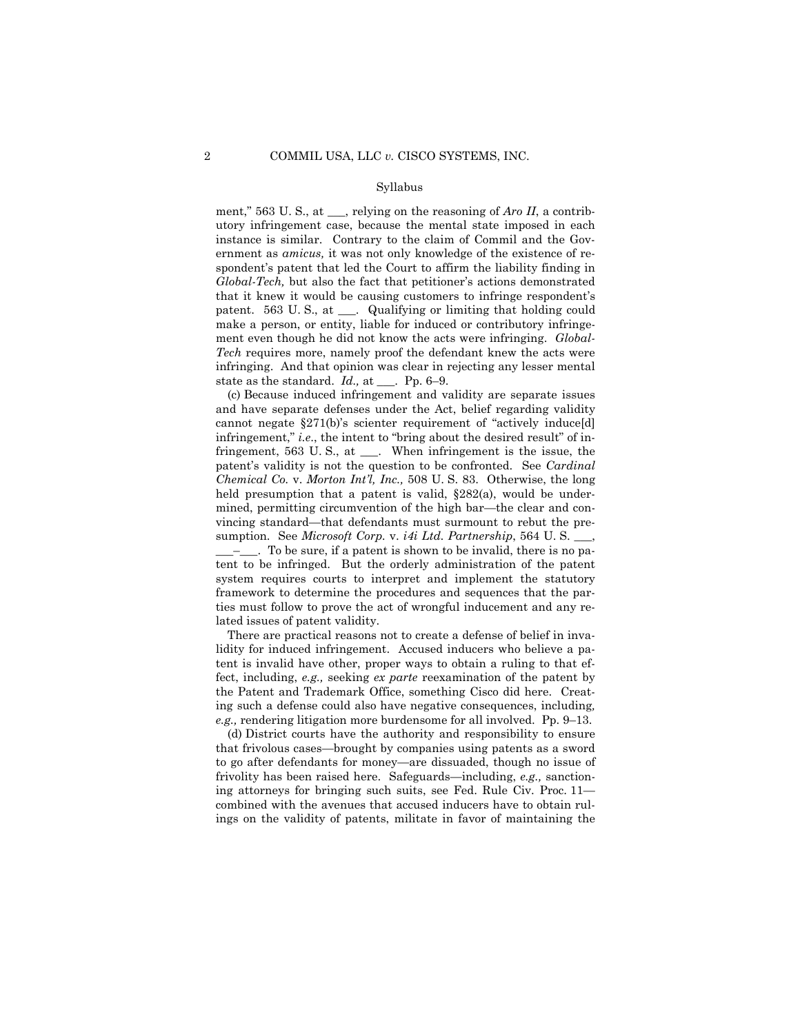#### Syllabus

ment," 563 U. S., at \_\_\_, relying on the reasoning of *Aro II*, a contributory infringement case, because the mental state imposed in each instance is similar. Contrary to the claim of Commil and the Government as *amicus,* it was not only knowledge of the existence of respondent's patent that led the Court to affirm the liability finding in *Global-Tech,* but also the fact that petitioner's actions demonstrated that it knew it would be causing customers to infringe respondent's patent. 563 U.S., at \_\_\_. Qualifying or limiting that holding could make a person, or entity, liable for induced or contributory infringement even though he did not know the acts were infringing. *Global-Tech* requires more, namely proof the defendant knew the acts were infringing. And that opinion was clear in rejecting any lesser mental state as the standard. *Id.,* at \_\_\_. Pp. 6–9.

(c) Because induced infringement and validity are separate issues and have separate defenses under the Act, belief regarding validity cannot negate §271(b)'s scienter requirement of "actively induce[d] infringement," *i.e*., the intent to "bring about the desired result" of infringement, 563 U. S., at \_\_\_. When infringement is the issue, the patent's validity is not the question to be confronted. See *Cardinal Chemical Co.* v. *Morton Int'l, Inc.,* 508 U. S. 83. Otherwise, the long held presumption that a patent is valid, §282(a), would be undermined, permitting circumvention of the high bar—the clear and convincing standard—that defendants must surmount to rebut the presumption. See *Microsoft Corp.* v. *i4i Ltd. Partnership*, 564 U. S. \_\_\_, \_\_\_–\_\_\_. To be sure, if a patent is shown to be invalid, there is no pa-

tent to be infringed. But the orderly administration of the patent system requires courts to interpret and implement the statutory framework to determine the procedures and sequences that the parties must follow to prove the act of wrongful inducement and any related issues of patent validity.

There are practical reasons not to create a defense of belief in invalidity for induced infringement. Accused inducers who believe a patent is invalid have other, proper ways to obtain a ruling to that effect, including, *e.g.,* seeking *ex parte* reexamination of the patent by the Patent and Trademark Office, something Cisco did here. Creating such a defense could also have negative consequences, including*, e.g.,* rendering litigation more burdensome for all involved. Pp. 9–13.

(d) District courts have the authority and responsibility to ensure that frivolous cases—brought by companies using patents as a sword to go after defendants for money—are dissuaded, though no issue of frivolity has been raised here. Safeguards—including, *e.g.,* sanctioning attorneys for bringing such suits, see Fed. Rule Civ. Proc. 11 combined with the avenues that accused inducers have to obtain rulings on the validity of patents, militate in favor of maintaining the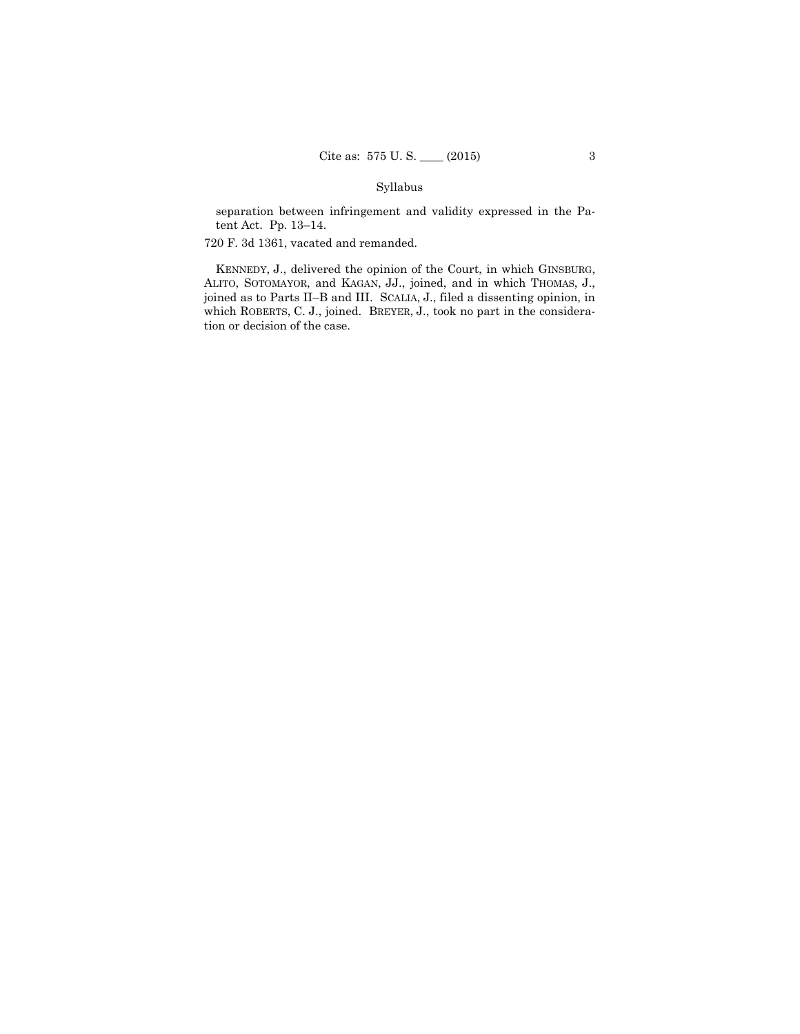# Syllabus

separation between infringement and validity expressed in the Patent Act. Pp. 13–14.

720 F. 3d 1361, vacated and remanded.

KENNEDY, J., delivered the opinion of the Court, in which GINSBURG, ALITO, SOTOMAYOR, and KAGAN, JJ., joined, and in which THOMAS, J., joined as to Parts II–B and III. SCALIA, J., filed a dissenting opinion, in which ROBERTS, C. J., joined. BREYER, J., took no part in the consideration or decision of the case.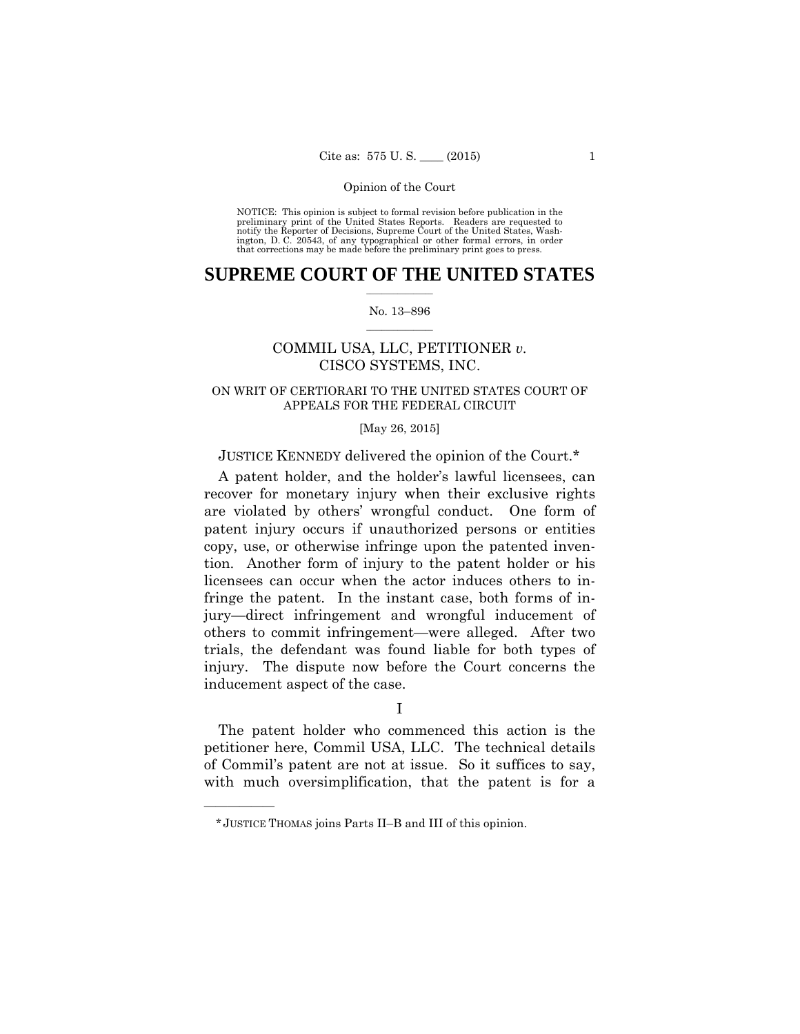preliminary print of the United States Reports. Readers are requested to notify the Reporter of Decisions, Supreme Court of the United States, Wash- ington, D. C. 20543, of any typographical or other formal errors, in order that corrections may be made before the preliminary print goes to press. NOTICE: This opinion is subject to formal revision before publication in the

### $\frac{1}{2}$  , where  $\frac{1}{2}$ **SUPREME COURT OF THE UNITED STATES**

#### $\frac{1}{2}$  ,  $\frac{1}{2}$  ,  $\frac{1}{2}$  ,  $\frac{1}{2}$  ,  $\frac{1}{2}$  ,  $\frac{1}{2}$ No. 13–896

# COMMIL USA, LLC, PETITIONER *v.*  CISCO SYSTEMS, INC.

## ON WRIT OF CERTIORARI TO THE UNITED STATES COURT OF APPEALS FOR THE FEDERAL CIRCUIT

### [May 26, 2015]

### JUSTICE KENNEDY delivered the opinion of the Court.\*

A patent holder, and the holder's lawful licensees, can recover for monetary injury when their exclusive rights are violated by others' wrongful conduct. One form of patent injury occurs if unauthorized persons or entities copy, use, or otherwise infringe upon the patented invention. Another form of injury to the patent holder or his licensees can occur when the actor induces others to infringe the patent. In the instant case, both forms of injury—direct infringement and wrongful inducement of others to commit infringement—were alleged. After two trials, the defendant was found liable for both types of injury. The dispute now before the Court concerns the inducement aspect of the case.

#### I

The patent holder who commenced this action is the petitioner here, Commil USA, LLC. The technical details of Commil's patent are not at issue. So it suffices to say, with much oversimplification, that the patent is for a

——————

<sup>\*</sup> JUSTICE THOMAS joins Parts II–B and III of this opinion.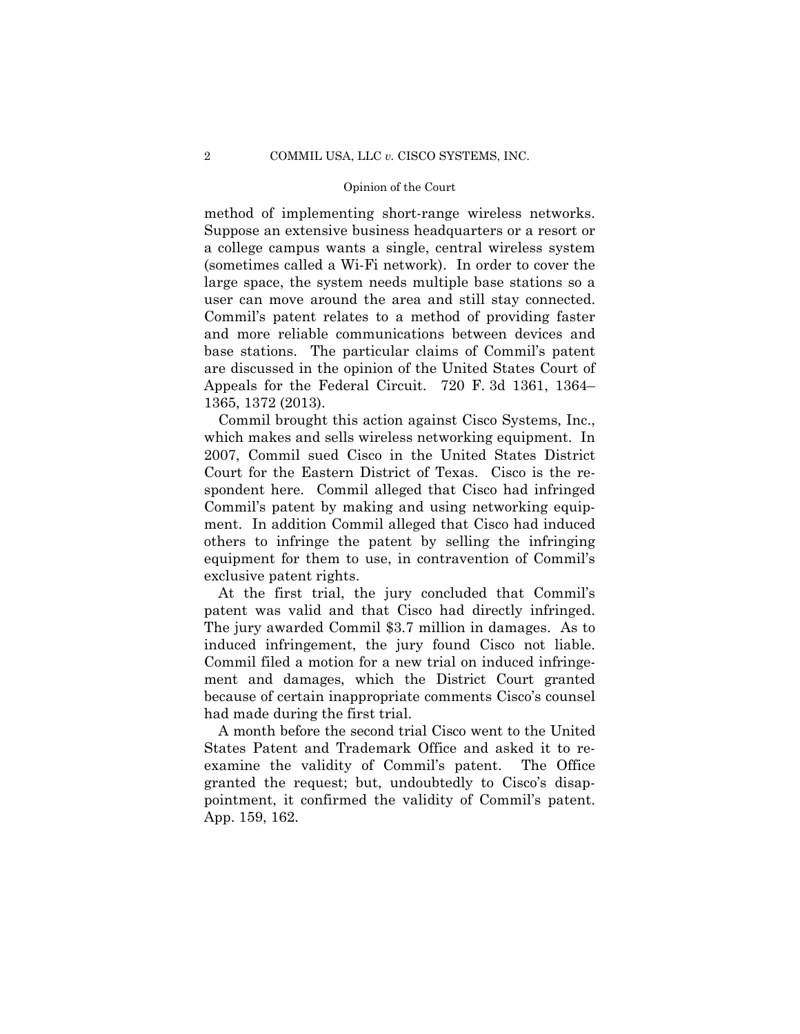method of implementing short-range wireless networks. Suppose an extensive business headquarters or a resort or a college campus wants a single, central wireless system (sometimes called a Wi-Fi network). In order to cover the large space, the system needs multiple base stations so a user can move around the area and still stay connected. Commil's patent relates to a method of providing faster and more reliable communications between devices and base stations. The particular claims of Commil's patent are discussed in the opinion of the United States Court of Appeals for the Federal Circuit. 720 F. 3d 1361, 1364– 1365, 1372 (2013).

Commil brought this action against Cisco Systems, Inc., which makes and sells wireless networking equipment. In 2007, Commil sued Cisco in the United States District Court for the Eastern District of Texas. Cisco is the respondent here. Commil alleged that Cisco had infringed Commil's patent by making and using networking equipment. In addition Commil alleged that Cisco had induced others to infringe the patent by selling the infringing equipment for them to use, in contravention of Commil's exclusive patent rights.

 patent was valid and that Cisco had directly infringed. induced infringement, the jury found Cisco not liable. At the first trial, the jury concluded that Commil's The jury awarded Commil \$3.7 million in damages. As to Commil filed a motion for a new trial on induced infringement and damages, which the District Court granted because of certain inappropriate comments Cisco's counsel had made during the first trial.

A month before the second trial Cisco went to the United States Patent and Trademark Office and asked it to reexamine the validity of Commil's patent. The Office granted the request; but, undoubtedly to Cisco's disappointment, it confirmed the validity of Commil's patent. App. 159, 162.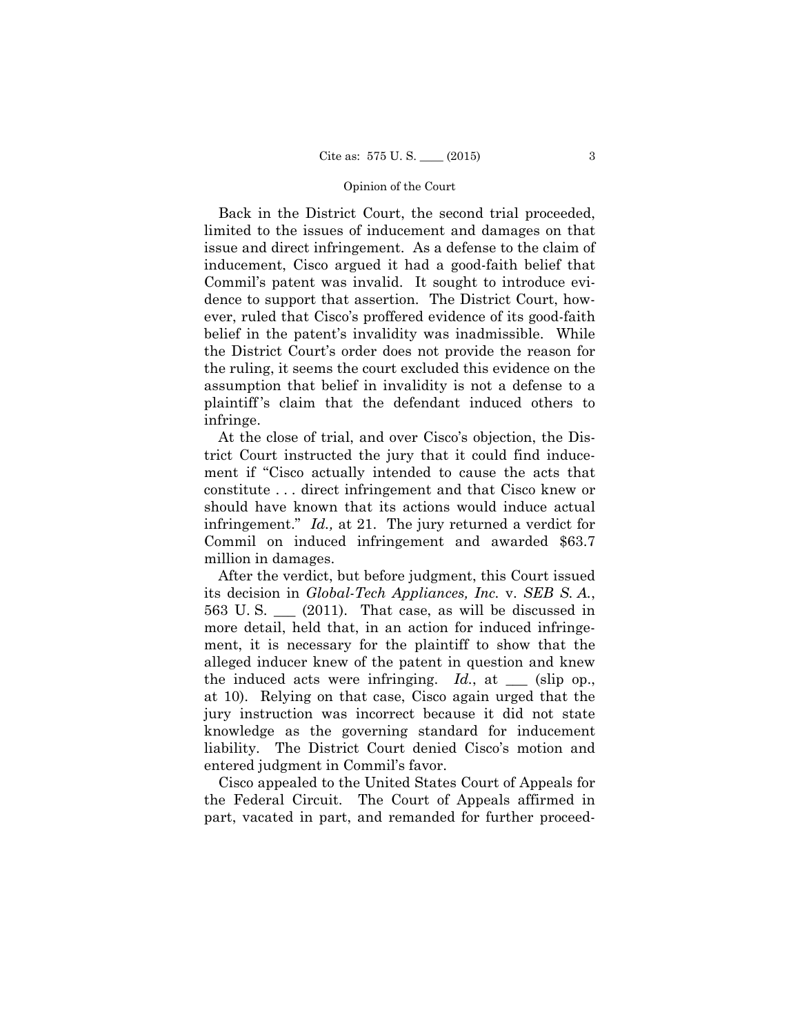Back in the District Court, the second trial proceeded, limited to the issues of inducement and damages on that issue and direct infringement. As a defense to the claim of inducement, Cisco argued it had a good-faith belief that Commil's patent was invalid. It sought to introduce evidence to support that assertion. The District Court, however, ruled that Cisco's proffered evidence of its good-faith belief in the patent's invalidity was inadmissible. While the District Court's order does not provide the reason for the ruling, it seems the court excluded this evidence on the assumption that belief in invalidity is not a defense to a plaintiff 's claim that the defendant induced others to infringe.

At the close of trial, and over Cisco's objection, the District Court instructed the jury that it could find inducement if "Cisco actually intended to cause the acts that constitute . . . direct infringement and that Cisco knew or should have known that its actions would induce actual infringement." *Id.,* at 21. The jury returned a verdict for Commil on induced infringement and awarded \$63.7 million in damages.

563 U.S.  $\_\_$  (2011). That case, as will be discussed in After the verdict, but before judgment, this Court issued its decision in *Global-Tech Appliances, Inc.* v. *SEB S. A.*, more detail, held that, in an action for induced infringement, it is necessary for the plaintiff to show that the alleged inducer knew of the patent in question and knew the induced acts were infringing.  $Id.$ , at  $\_\_\_$  (slip op., at 10). Relying on that case, Cisco again urged that the jury instruction was incorrect because it did not state knowledge as the governing standard for inducement liability. The District Court denied Cisco's motion and entered judgment in Commil's favor.

Cisco appealed to the United States Court of Appeals for the Federal Circuit. The Court of Appeals affirmed in part, vacated in part, and remanded for further proceed-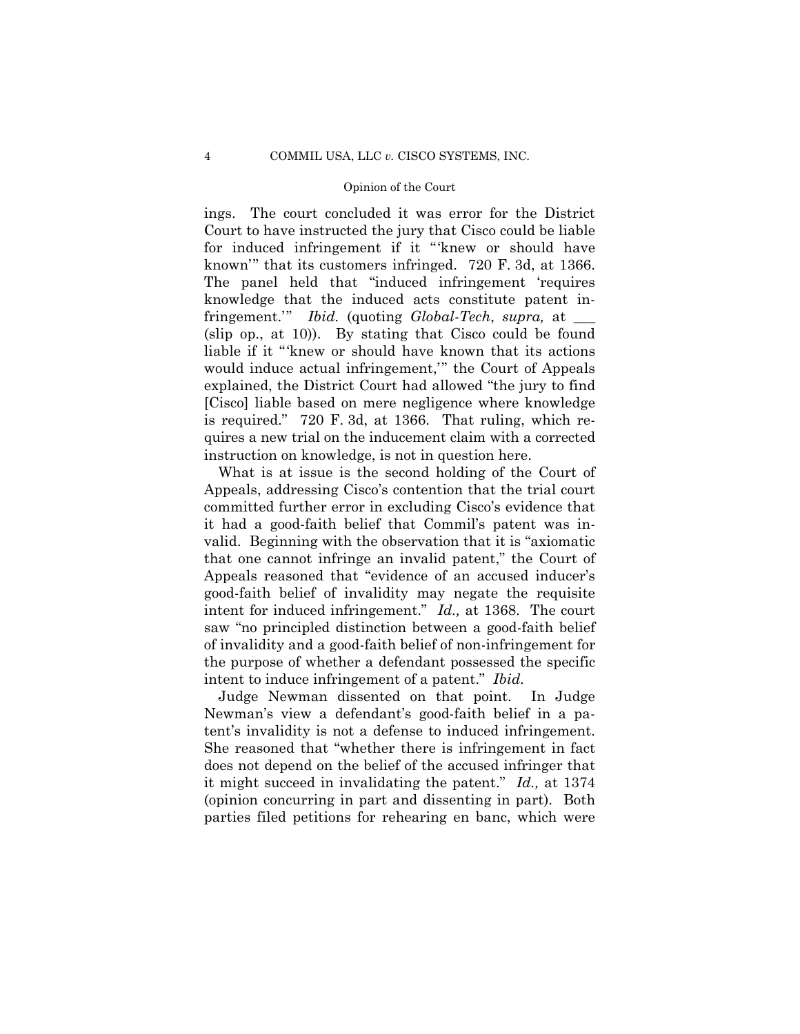is required." 720 F. 3d, at 1366. That ruling, which re- quires a new trial on the inducement claim with a corrected ings. The court concluded it was error for the District Court to have instructed the jury that Cisco could be liable for induced infringement if it "'knew or should have known'" that its customers infringed. 720 F. 3d, at 1366. The panel held that "induced infringement 'requires knowledge that the induced acts constitute patent infringement.'" *Ibid.* (quoting *Global-Tech*, *supra,* at \_\_\_ (slip op., at 10)). By stating that Cisco could be found liable if it "'knew or should have known that its actions would induce actual infringement,'" the Court of Appeals explained, the District Court had allowed "the jury to find [Cisco] liable based on mere negligence where knowledge instruction on knowledge, is not in question here.

What is at issue is the second holding of the Court of Appeals, addressing Cisco's contention that the trial court committed further error in excluding Cisco's evidence that it had a good-faith belief that Commil's patent was invalid. Beginning with the observation that it is "axiomatic that one cannot infringe an invalid patent," the Court of Appeals reasoned that "evidence of an accused inducer's good-faith belief of invalidity may negate the requisite intent for induced infringement." *Id.,* at 1368. The court saw "no principled distinction between a good-faith belief of invalidity and a good-faith belief of non-infringement for the purpose of whether a defendant possessed the specific intent to induce infringement of a patent." *Ibid.* 

Judge Newman dissented on that point. In Judge Newman's view a defendant's good-faith belief in a patent's invalidity is not a defense to induced infringement. She reasoned that "whether there is infringement in fact does not depend on the belief of the accused infringer that it might succeed in invalidating the patent." *Id.,* at 1374 (opinion concurring in part and dissenting in part). Both parties filed petitions for rehearing en banc, which were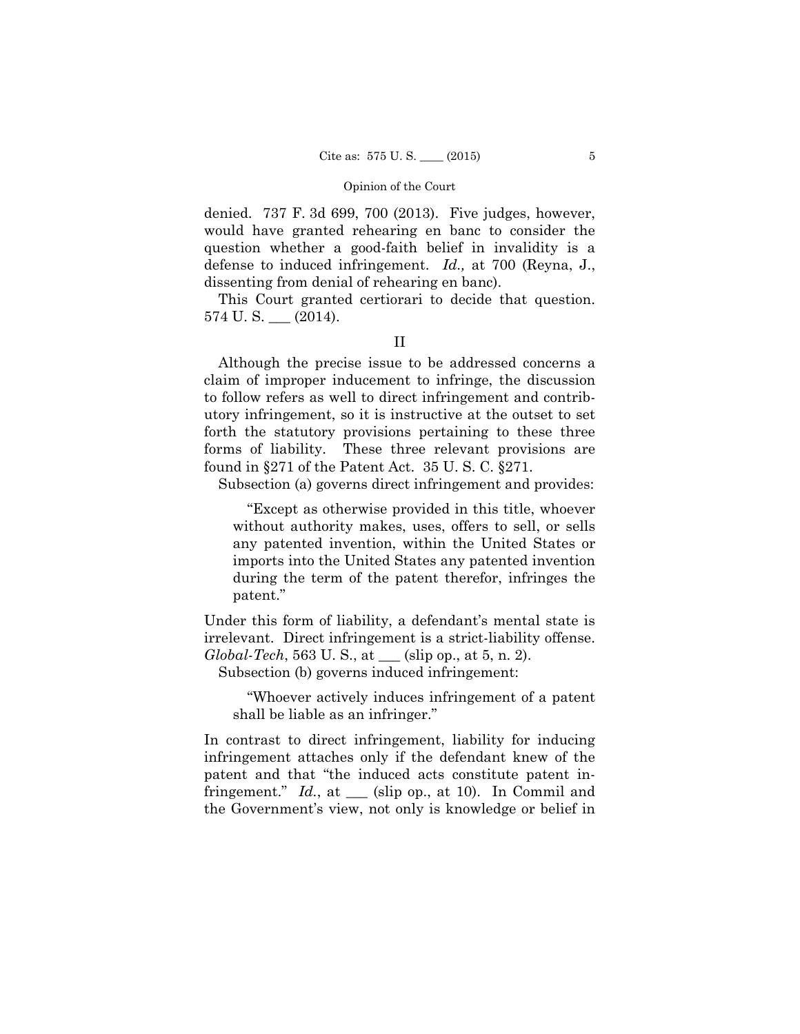denied. 737 F. 3d 699, 700 (2013). Five judges, however, would have granted rehearing en banc to consider the question whether a good-faith belief in invalidity is a defense to induced infringement. *Id.,* at 700 (Reyna, J., dissenting from denial of rehearing en banc).

This Court granted certiorari to decide that question.  $574$  U.S.  $\_\_$  (2014).

II

Although the precise issue to be addressed concerns a claim of improper inducement to infringe, the discussion to follow refers as well to direct infringement and contributory infringement, so it is instructive at the outset to set forth the statutory provisions pertaining to these three forms of liability. These three relevant provisions are found in §271 of the Patent Act. 35 U. S. C. §271.

Subsection (a) governs direct infringement and provides:

"Except as otherwise provided in this title, whoever without authority makes, uses, offers to sell, or sells any patented invention, within the United States or imports into the United States any patented invention during the term of the patent therefor, infringes the patent."

Under this form of liability, a defendant's mental state is irrelevant. Direct infringement is a strict-liability offense. *Global-Tech*, 563 U. S., at \_\_\_ (slip op., at 5, n. 2).

Subsection (b) governs induced infringement:

"Whoever actively induces infringement of a patent shall be liable as an infringer."

In contrast to direct infringement, liability for inducing infringement attaches only if the defendant knew of the patent and that "the induced acts constitute patent infringement." *Id.*, at \_\_\_ (slip op., at 10). In Commil and the Government's view, not only is knowledge or belief in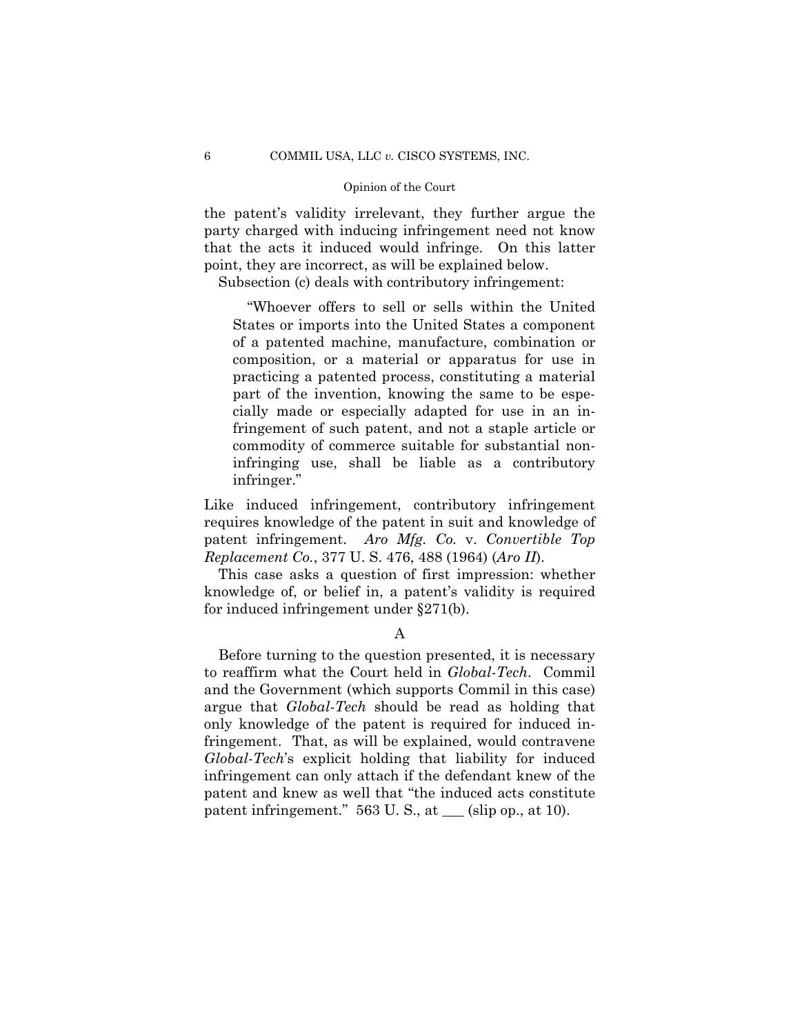the patent's validity irrelevant, they further argue the party charged with inducing infringement need not know that the acts it induced would infringe. On this latter point, they are incorrect, as will be explained below.

Subsection (c) deals with contributory infringement:

"Whoever offers to sell or sells within the United States or imports into the United States a component of a patented machine, manufacture, combination or composition, or a material or apparatus for use in practicing a patented process, constituting a material part of the invention, knowing the same to be especially made or especially adapted for use in an infringement of such patent, and not a staple article or commodity of commerce suitable for substantial noninfringing use, shall be liable as a contributory infringer."

Like induced infringement, contributory infringement requires knowledge of the patent in suit and knowledge of patent infringement. *Aro Mfg. Co.* v. *Convertible Top Replacement Co.*, 377 U. S. 476, 488 (1964) (*Aro II*).

This case asks a question of first impression: whether knowledge of, or belief in, a patent's validity is required for induced infringement under §271(b).

A

Before turning to the question presented, it is necessary to reaffirm what the Court held in *Global-Tech*. Commil and the Government (which supports Commil in this case) argue that *Global-Tech* should be read as holding that only knowledge of the patent is required for induced infringement. That, as will be explained, would contravene *Global-Tech*'s explicit holding that liability for induced infringement can only attach if the defendant knew of the patent and knew as well that "the induced acts constitute patent infringement." 563 U.S., at \_\_\_ (slip op., at 10).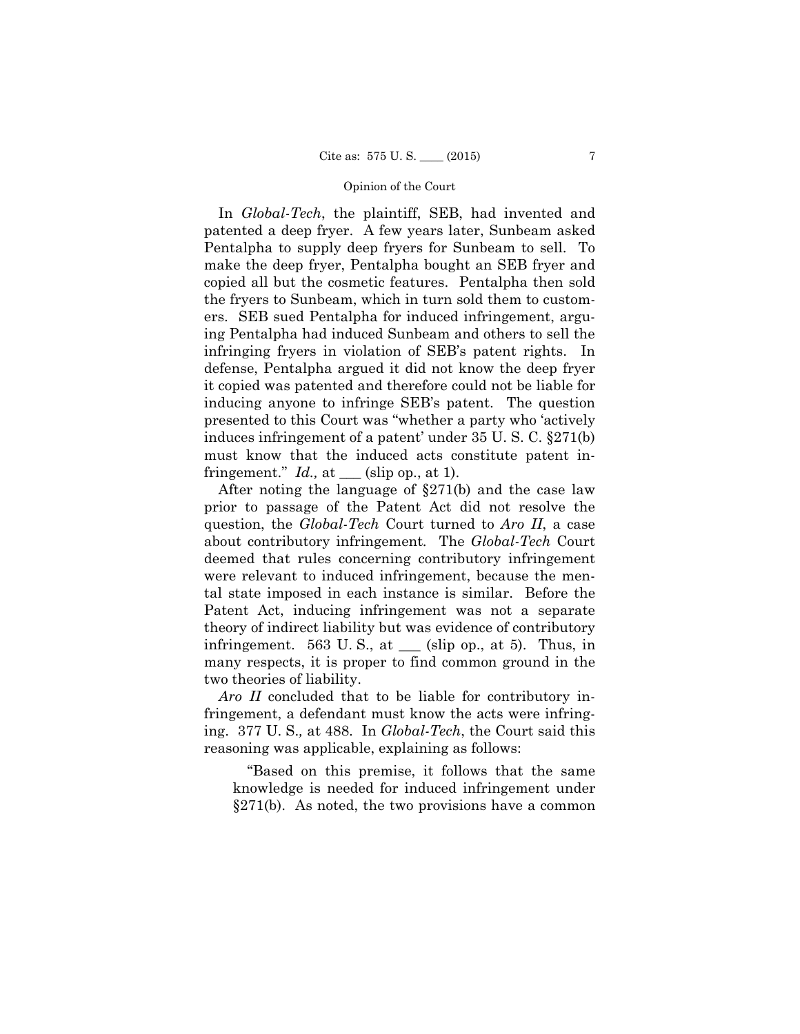In *Global-Tech*, the plaintiff, SEB, had invented and patented a deep fryer. A few years later, Sunbeam asked Pentalpha to supply deep fryers for Sunbeam to sell. To make the deep fryer, Pentalpha bought an SEB fryer and copied all but the cosmetic features. Pentalpha then sold the fryers to Sunbeam, which in turn sold them to customers. SEB sued Pentalpha for induced infringement, arguing Pentalpha had induced Sunbeam and others to sell the infringing fryers in violation of SEB's patent rights. In defense, Pentalpha argued it did not know the deep fryer it copied was patented and therefore could not be liable for inducing anyone to infringe SEB's patent. The question presented to this Court was "whether a party who 'actively induces infringement of a patent' under 35 U. S. C. §271(b) must know that the induced acts constitute patent infringement."  $Id.$ , at  $\_\_\_$ (slip op., at 1).

 about contributory infringement*.* The *Global-Tech* Court After noting the language of §271(b) and the case law prior to passage of the Patent Act did not resolve the question, the *Global-Tech* Court turned to *Aro II*, a case deemed that rules concerning contributory infringement were relevant to induced infringement, because the mental state imposed in each instance is similar. Before the Patent Act, inducing infringement was not a separate theory of indirect liability but was evidence of contributory infringement. 563 U.S., at  $\_\_\$  (slip op., at 5). Thus, in many respects, it is proper to find common ground in the two theories of liability.

*Aro II* concluded that to be liable for contributory infringement, a defendant must know the acts were infringing. 377 U. S.*,* at 488. In *Global-Tech*, the Court said this reasoning was applicable, explaining as follows:

"Based on this premise, it follows that the same knowledge is needed for induced infringement under §271(b). As noted, the two provisions have a common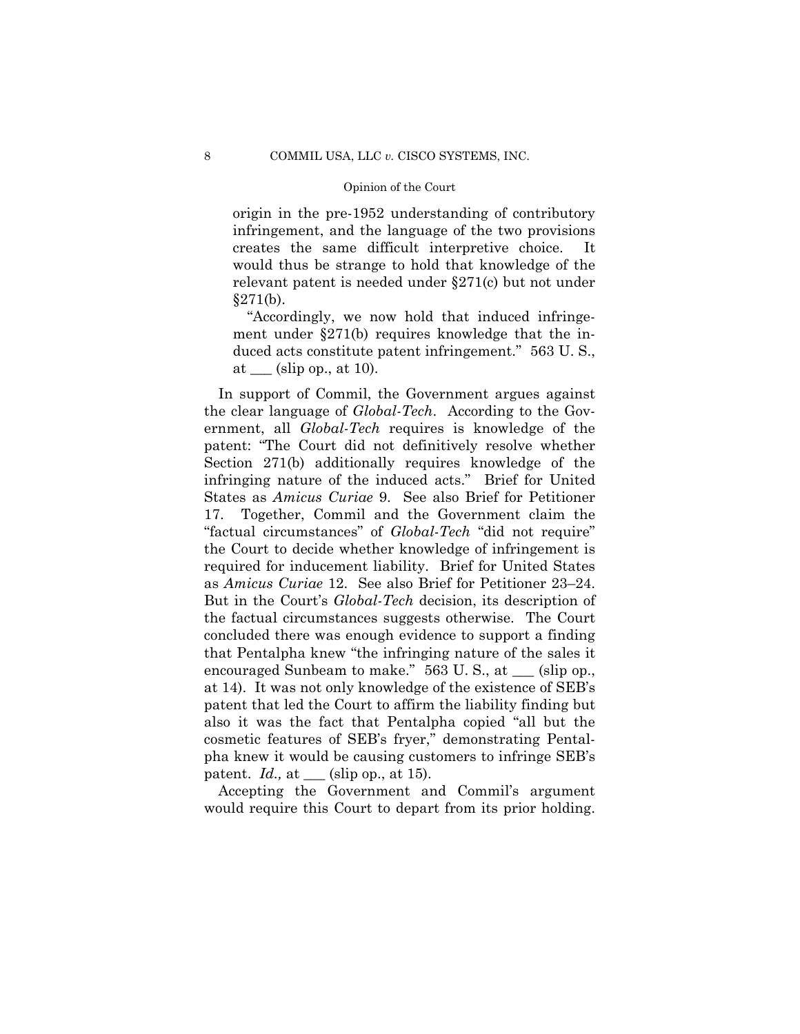origin in the pre-1952 understanding of contributory infringement, and the language of the two provisions creates the same difficult interpretive choice. It would thus be strange to hold that knowledge of the relevant patent is needed under §271(c) but not under  $§271(b).$ 

"Accordingly, we now hold that induced infringement under §271(b) requires knowledge that the induced acts constitute patent infringement." 563 U. S., at  $(\sin$  op., at 10).

In support of Commil, the Government argues against the clear language of *Global-Tech*. According to the Government, all *Global-Tech* requires is knowledge of the patent: "The Court did not definitively resolve whether Section 271(b) additionally requires knowledge of the infringing nature of the induced acts." Brief for United States as *Amicus Curiae* 9. See also Brief for Petitioner 17. Together, Commil and the Government claim the "factual circumstances" of *Global-Tech* "did not require" the Court to decide whether knowledge of infringement is required for inducement liability. Brief for United States as *Amicus Curiae* 12. See also Brief for Petitioner 23–24. But in the Court's *Global-Tech* decision, its description of the factual circumstances suggests otherwise. The Court concluded there was enough evidence to support a finding that Pentalpha knew "the infringing nature of the sales it encouraged Sunbeam to make." 563 U.S., at  $\_\_$  (slip op., at 14). It was not only knowledge of the existence of SEB's patent that led the Court to affirm the liability finding but also it was the fact that Pentalpha copied "all but the cosmetic features of SEB's fryer," demonstrating Pentalpha knew it would be causing customers to infringe SEB's patent. *Id.,* at \_\_\_ (slip op., at 15).

Accepting the Government and Commil's argument would require this Court to depart from its prior holding.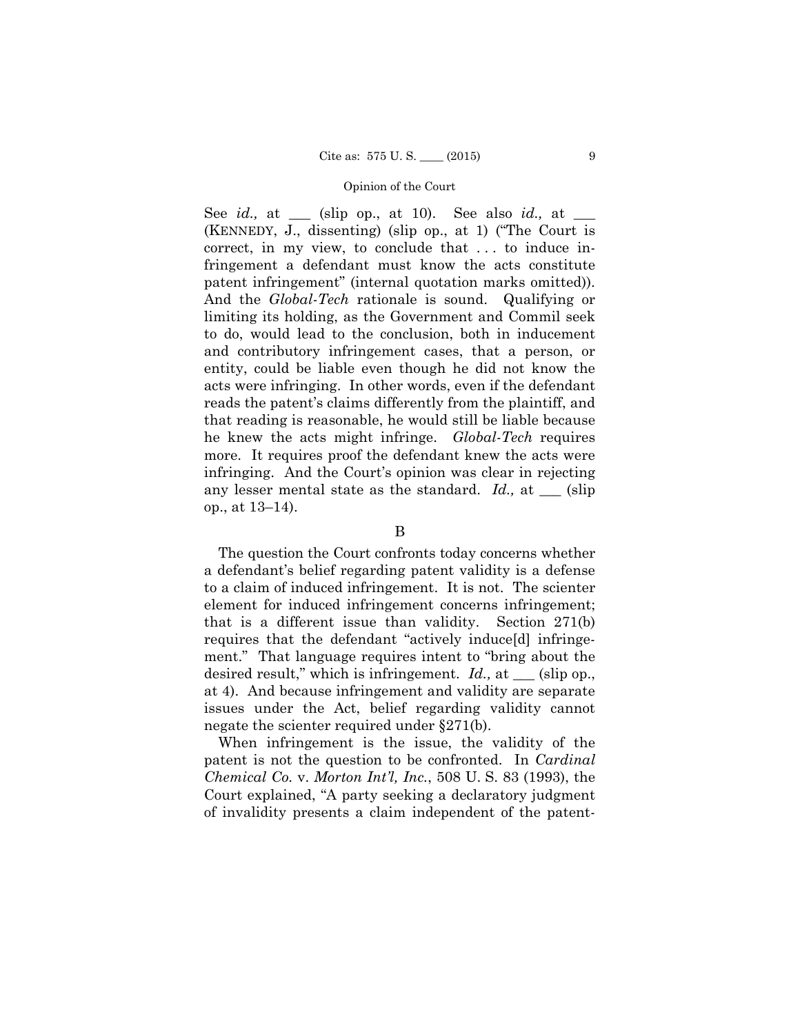See *id.,* at \_\_\_ (slip op., at 10). See also *id.,* at \_\_\_ (KENNEDY, J., dissenting) (slip op., at 1) ("The Court is correct, in my view, to conclude that . . . to induce infringement a defendant must know the acts constitute patent infringement" (internal quotation marks omitted)). And the *Global-Tech* rationale is sound. Qualifying or limiting its holding, as the Government and Commil seek to do, would lead to the conclusion, both in inducement and contributory infringement cases, that a person, or entity, could be liable even though he did not know the acts were infringing. In other words, even if the defendant reads the patent's claims differently from the plaintiff, and that reading is reasonable, he would still be liable because he knew the acts might infringe. *Global-Tech* requires more. It requires proof the defendant knew the acts were infringing. And the Court's opinion was clear in rejecting any lesser mental state as the standard. *Id.*, at <u>section</u> op., at 13–14).

# B

The question the Court confronts today concerns whether a defendant's belief regarding patent validity is a defense to a claim of induced infringement. It is not. The scienter element for induced infringement concerns infringement; that is a different issue than validity. Section 271(b) requires that the defendant "actively induce[d] infringement." That language requires intent to "bring about the desired result," which is infringement. *Id.,* at \_\_\_ (slip op., at 4). And because infringement and validity are separate issues under the Act, belief regarding validity cannot negate the scienter required under §271(b).

When infringement is the issue, the validity of the patent is not the question to be confronted. In *Cardinal Chemical Co.* v. *Morton Int'l, Inc.*, 508 U. S. 83 (1993), the Court explained, "A party seeking a declaratory judgment of invalidity presents a claim independent of the patent-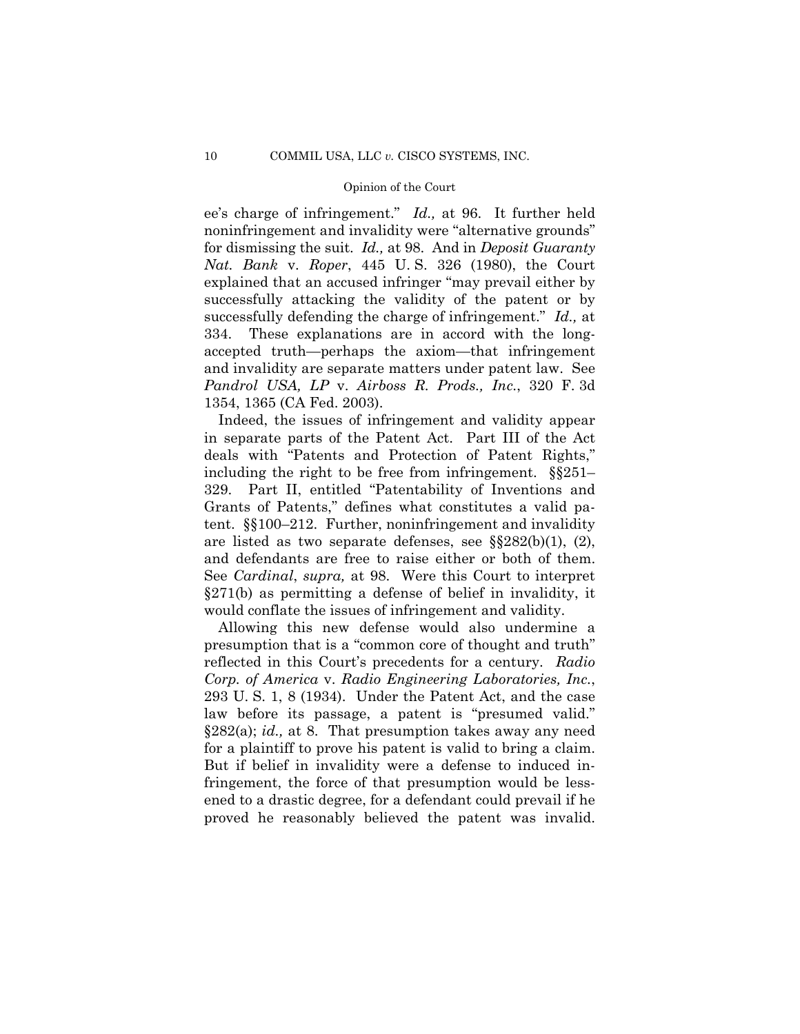ee's charge of infringement." *Id.,* at 96. It further held noninfringement and invalidity were "alternative grounds" for dismissing the suit. *Id.,* at 98. And in *Deposit Guaranty Nat. Bank* v. *Roper*, 445 U. S. 326 (1980), the Court explained that an accused infringer "may prevail either by successfully attacking the validity of the patent or by successfully defending the charge of infringement." *Id.,* at 334. These explanations are in accord with the longaccepted truth—perhaps the axiom—that infringement and invalidity are separate matters under patent law. See *Pandrol USA, LP* v. *Airboss R. Prods., Inc.*, 320 F. 3d 1354, 1365 (CA Fed. 2003).

Indeed, the issues of infringement and validity appear in separate parts of the Patent Act. Part III of the Act deals with "Patents and Protection of Patent Rights," including the right to be free from infringement. §§251– 329. Part II, entitled "Patentability of Inventions and Grants of Patents," defines what constitutes a valid patent. §§100–212. Further, noninfringement and invalidity are listed as two separate defenses, see §§282(b)(1), (2), and defendants are free to raise either or both of them. See *Cardinal*, *supra,* at 98. Were this Court to interpret §271(b) as permitting a defense of belief in invalidity, it would conflate the issues of infringement and validity.

Allowing this new defense would also undermine a presumption that is a "common core of thought and truth" reflected in this Court's precedents for a century. *Radio Corp. of America* v. *Radio Engineering Laboratories, Inc.*, 293 U. S. 1, 8 (1934). Under the Patent Act, and the case law before its passage, a patent is "presumed valid." §282(a); *id.,* at 8. That presumption takes away any need for a plaintiff to prove his patent is valid to bring a claim. But if belief in invalidity were a defense to induced infringement, the force of that presumption would be lessened to a drastic degree, for a defendant could prevail if he proved he reasonably believed the patent was invalid.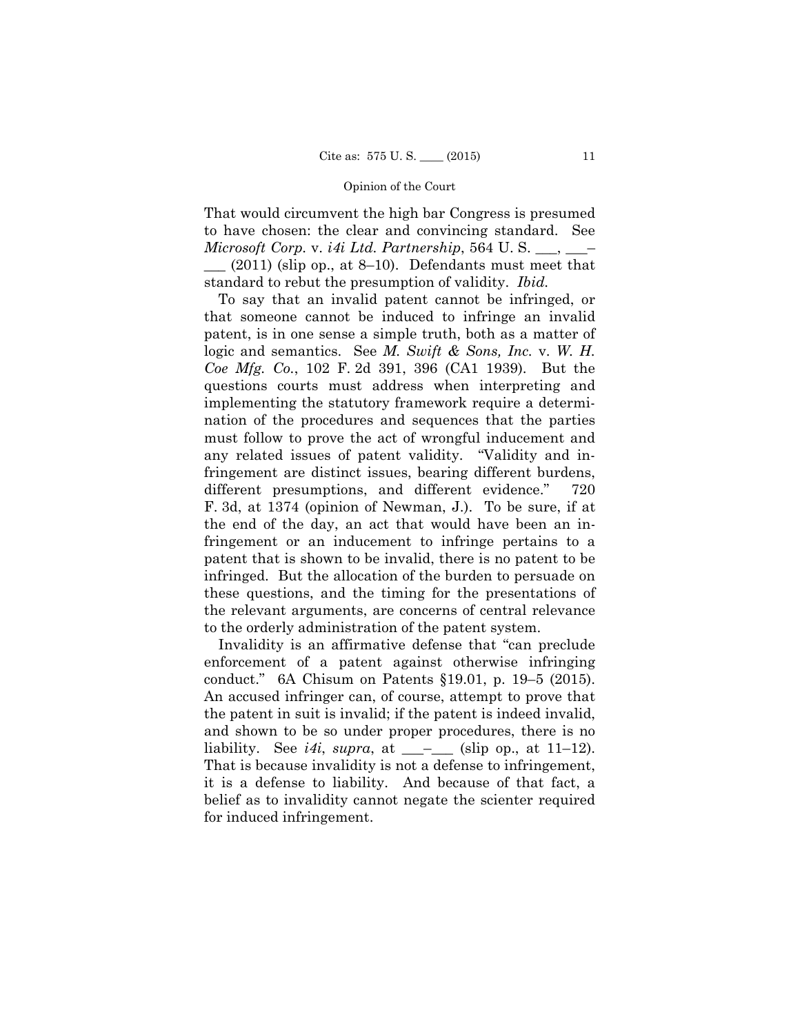That would circumvent the high bar Congress is presumed to have chosen: the clear and convincing standard. See *Microsoft Corp.* v. *i4i Ltd. Partnership*, 564 U. S. \_\_\_, \_\_\_–

 $(2011)$  (slip op., at 8–10). Defendants must meet that standard to rebut the presumption of validity. *Ibid.* 

To say that an invalid patent cannot be infringed, or that someone cannot be induced to infringe an invalid patent, is in one sense a simple truth, both as a matter of logic and semantics. See *M. Swift & Sons, Inc.* v. *W. H. Coe Mfg. Co.*, 102 F. 2d 391, 396 (CA1 1939). But the questions courts must address when interpreting and implementing the statutory framework require a determination of the procedures and sequences that the parties must follow to prove the act of wrongful inducement and any related issues of patent validity. "Validity and infringement are distinct issues, bearing different burdens, different presumptions, and different evidence." 720 F. 3d, at 1374 (opinion of Newman, J.). To be sure, if at the end of the day, an act that would have been an infringement or an inducement to infringe pertains to a patent that is shown to be invalid, there is no patent to be infringed. But the allocation of the burden to persuade on these questions, and the timing for the presentations of the relevant arguments, are concerns of central relevance to the orderly administration of the patent system.

 conduct." 6A Chisum on Patents §19.01, p. 19–5 (2015). Invalidity is an affirmative defense that "can preclude enforcement of a patent against otherwise infringing An accused infringer can, of course, attempt to prove that the patent in suit is invalid; if the patent is indeed invalid, and shown to be so under proper procedures, there is no liability. See *i4i*, *supra*, at  $\_\_$  (slip op., at 11–12). That is because invalidity is not a defense to infringement, it is a defense to liability. And because of that fact, a belief as to invalidity cannot negate the scienter required for induced infringement.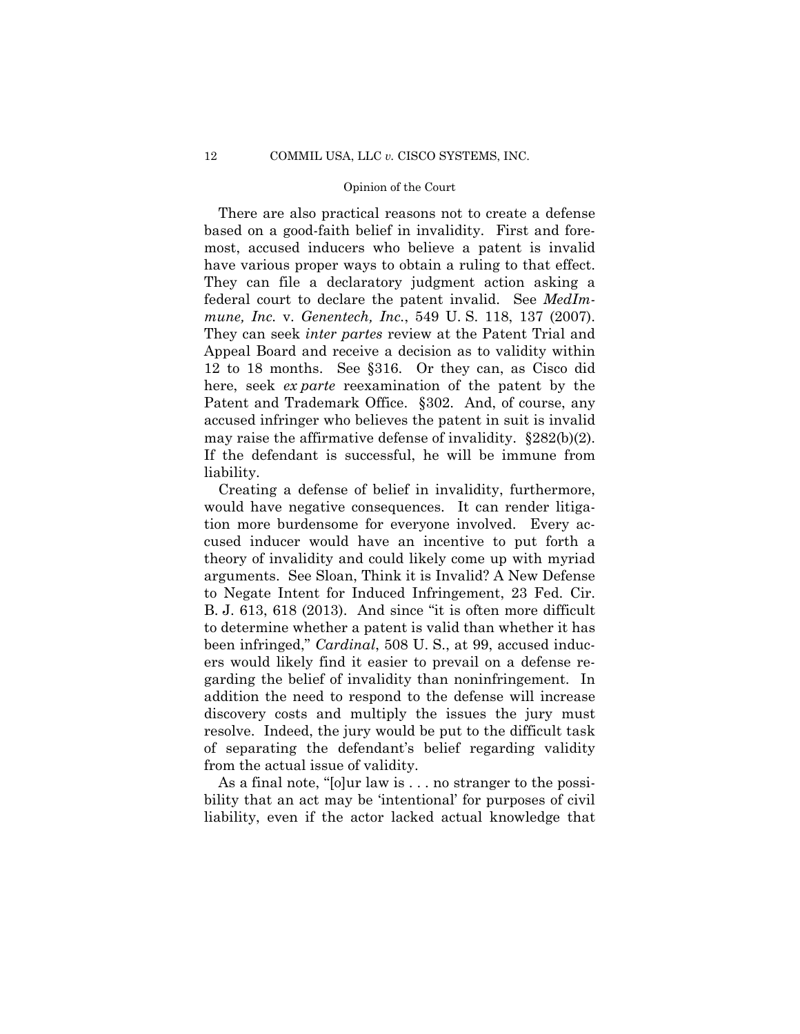There are also practical reasons not to create a defense based on a good-faith belief in invalidity. First and foremost, accused inducers who believe a patent is invalid have various proper ways to obtain a ruling to that effect. They can file a declaratory judgment action asking a federal court to declare the patent invalid. See *MedImmune, Inc.* v. *Genentech, Inc.*, 549 U. S. 118, 137 (2007). They can seek *inter partes* review at the Patent Trial and Appeal Board and receive a decision as to validity within 12 to 18 months. See §316. Or they can, as Cisco did here, seek *ex parte* reexamination of the patent by the Patent and Trademark Office. §302. And, of course, any accused infringer who believes the patent in suit is invalid may raise the affirmative defense of invalidity. §282(b)(2). If the defendant is successful, he will be immune from liability.

Creating a defense of belief in invalidity, furthermore, would have negative consequences. It can render litigation more burdensome for everyone involved. Every accused inducer would have an incentive to put forth a theory of invalidity and could likely come up with myriad arguments. See Sloan, Think it is Invalid? A New Defense to Negate Intent for Induced Infringement, 23 Fed. Cir. B. J. 613, 618 (2013). And since "it is often more difficult to determine whether a patent is valid than whether it has been infringed," *Cardinal*, 508 U. S., at 99, accused inducers would likely find it easier to prevail on a defense regarding the belief of invalidity than noninfringement. In addition the need to respond to the defense will increase discovery costs and multiply the issues the jury must resolve. Indeed, the jury would be put to the difficult task of separating the defendant's belief regarding validity from the actual issue of validity.

As a final note, "[o]ur law is . . . no stranger to the possibility that an act may be 'intentional' for purposes of civil liability, even if the actor lacked actual knowledge that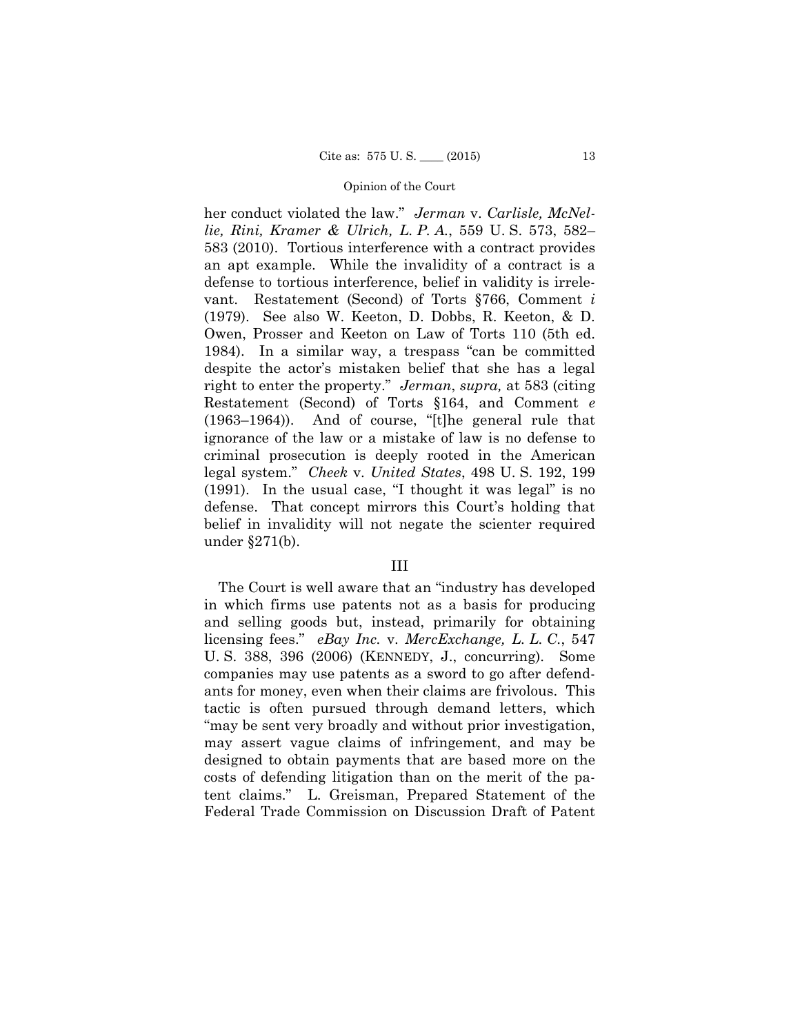right to enter the property." *Jerman*, *supra,* at 583 (citing her conduct violated the law." *Jerman* v. *Carlisle, McNellie, Rini, Kramer & Ulrich, L. P. A.*, 559 U. S. 573, 582– 583 (2010). Tortious interference with a contract provides an apt example. While the invalidity of a contract is a defense to tortious interference, belief in validity is irrelevant. Restatement (Second) of Torts §766, Comment *i*  (1979). See also W. Keeton, D. Dobbs, R. Keeton, & D. Owen, Prosser and Keeton on Law of Torts 110 (5th ed. 1984). In a similar way, a trespass "can be committed despite the actor's mistaken belief that she has a legal Restatement (Second) of Torts §164, and Comment *e*  (1963–1964)). And of course, "[t]he general rule that ignorance of the law or a mistake of law is no defense to criminal prosecution is deeply rooted in the American legal system." *Cheek* v. *United States*, 498 U. S. 192, 199 (1991). In the usual case, "I thought it was legal" is no defense. That concept mirrors this Court's holding that belief in invalidity will not negate the scienter required under §271(b).

#### III

The Court is well aware that an "industry has developed in which firms use patents not as a basis for producing and selling goods but, instead, primarily for obtaining licensing fees." *eBay Inc.* v. *MercExchange, L. L. C.*, 547 U. S. 388, 396 (2006) (KENNEDY, J., concurring). Some companies may use patents as a sword to go after defendants for money, even when their claims are frivolous. This tactic is often pursued through demand letters, which "may be sent very broadly and without prior investigation, may assert vague claims of infringement, and may be designed to obtain payments that are based more on the costs of defending litigation than on the merit of the patent claims." L. Greisman, Prepared Statement of the Federal Trade Commission on Discussion Draft of Patent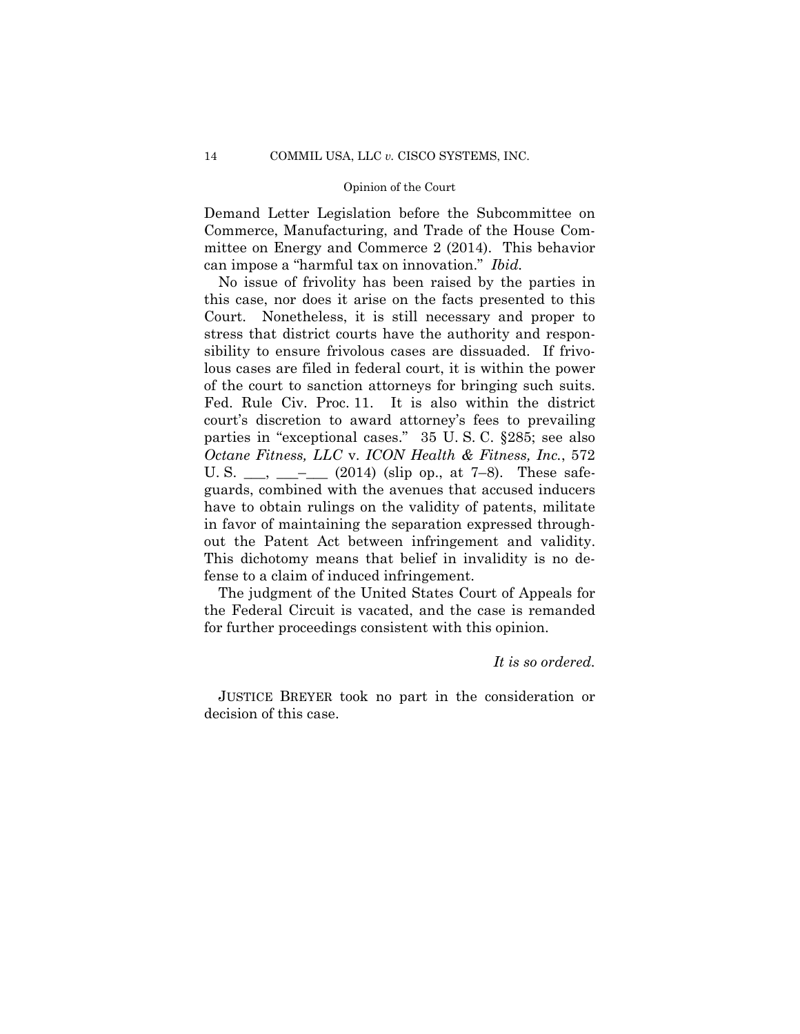Demand Letter Legislation before the Subcommittee on Commerce, Manufacturing, and Trade of the House Committee on Energy and Commerce 2 (2014). This behavior can impose a "harmful tax on innovation." *Ibid.* 

No issue of frivolity has been raised by the parties in this case, nor does it arise on the facts presented to this Court. Nonetheless, it is still necessary and proper to stress that district courts have the authority and responsibility to ensure frivolous cases are dissuaded. If frivolous cases are filed in federal court, it is within the power of the court to sanction attorneys for bringing such suits. Fed. Rule Civ. Proc. 11. It is also within the district court's discretion to award attorney's fees to prevailing parties in "exceptional cases." 35 U. S. C. §285; see also *Octane Fitness, LLC* v. *ICON Health & Fitness, Inc.*, 572 U. S.  $\_\_\_\_\_\_\_\_\_\_\_\_$  (2014) (slip op., at 7–8). These safeguards, combined with the avenues that accused inducers have to obtain rulings on the validity of patents, militate in favor of maintaining the separation expressed throughout the Patent Act between infringement and validity. This dichotomy means that belief in invalidity is no defense to a claim of induced infringement.

The judgment of the United States Court of Appeals for the Federal Circuit is vacated, and the case is remanded for further proceedings consistent with this opinion.

# *It is so ordered.*

 JUSTICE BREYER took no part in the consideration or decision of this case.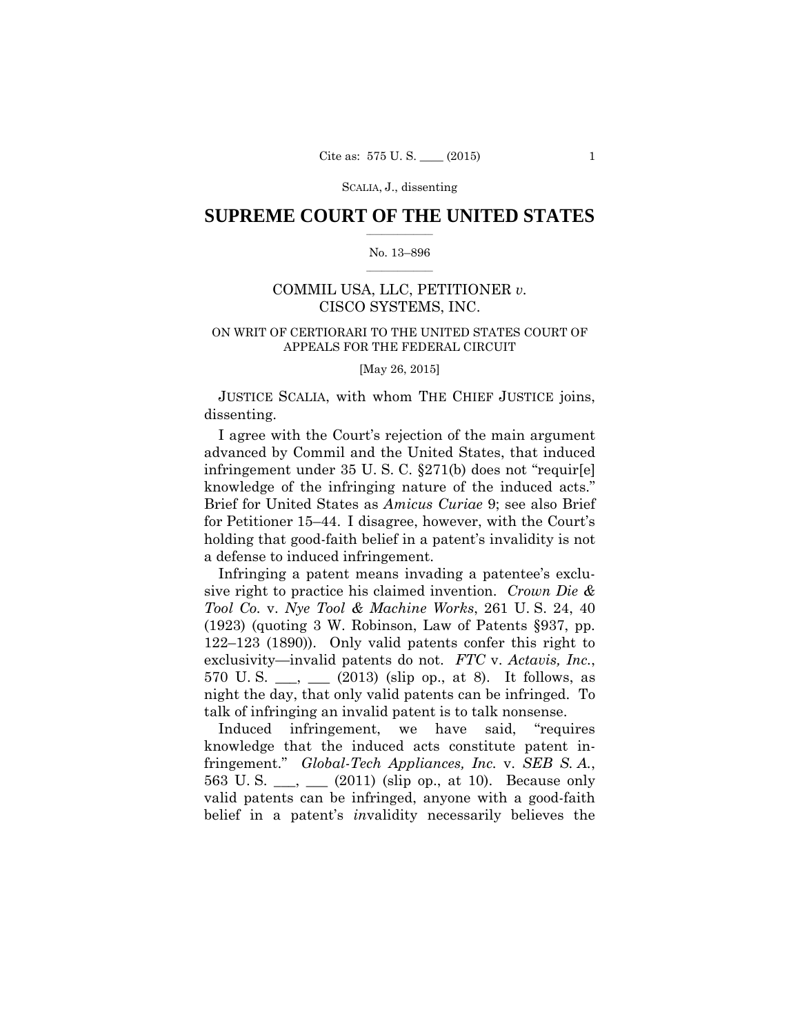SCALIA, J., dissenting

### $\frac{1}{2}$  , where  $\frac{1}{2}$ **SUPREME COURT OF THE UNITED STATES**

#### $\frac{1}{2}$  ,  $\frac{1}{2}$  ,  $\frac{1}{2}$  ,  $\frac{1}{2}$  ,  $\frac{1}{2}$  ,  $\frac{1}{2}$ No. 13–896

# COMMIL USA, LLC, PETITIONER *v.*  CISCO SYSTEMS, INC.

# ON WRIT OF CERTIORARI TO THE UNITED STATES COURT OF APPEALS FOR THE FEDERAL CIRCUIT

[May 26, 2015]

JUSTICE SCALIA, with whom THE CHIEF JUSTICE joins, dissenting.

I agree with the Court's rejection of the main argument advanced by Commil and the United States, that induced infringement under 35 U. S. C. §271(b) does not "requir[e] knowledge of the infringing nature of the induced acts." Brief for United States as *Amicus Curiae* 9; see also Brief for Petitioner 15–44. I disagree, however, with the Court's holding that good-faith belief in a patent's invalidity is not a defense to induced infringement.

Infringing a patent means invading a patentee's exclusive right to practice his claimed invention. *Crown Die & Tool Co.* v. *Nye Tool & Machine Works*, 261 U. S. 24, 40 (1923) (quoting 3 W. Robinson, Law of Patents §937, pp. 122–123 (1890)). Only valid patents confer this right to exclusivity—invalid patents do not. *FTC* v. *Actavis, Inc.*, 570 U.S.  $\_\_$ ,  $\_\_$  (2013) (slip op., at 8). It follows, as night the day, that only valid patents can be infringed. To talk of infringing an invalid patent is to talk nonsense.

Induced infringement, we have said, "requires knowledge that the induced acts constitute patent infringement." *Global-Tech Appliances, Inc.* v. *SEB S. A.*, 563 U.S.  $\qquad \qquad$ ,  $\qquad \qquad$  (2011) (slip op., at 10). Because only valid patents can be infringed, anyone with a good-faith belief in a patent's *in*validity necessarily believes the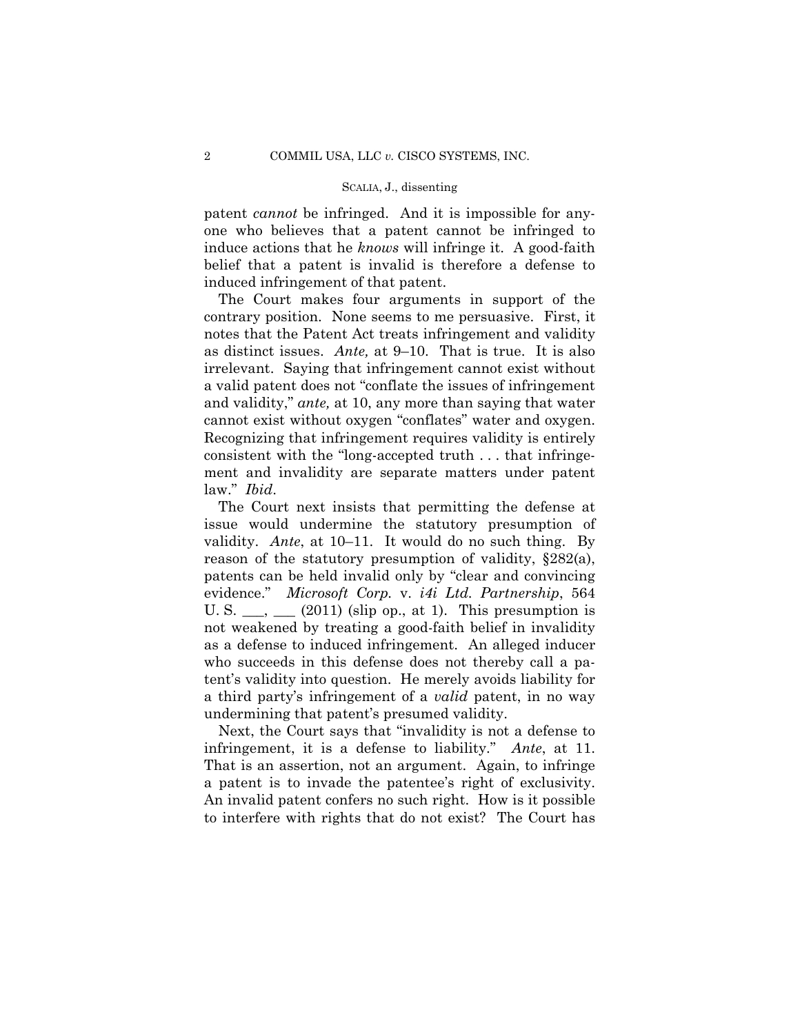#### SCALIA, J., dissenting

patent *cannot* be infringed. And it is impossible for anyone who believes that a patent cannot be infringed to induce actions that he *knows* will infringe it. A good-faith belief that a patent is invalid is therefore a defense to induced infringement of that patent.

The Court makes four arguments in support of the contrary position. None seems to me persuasive. First, it notes that the Patent Act treats infringement and validity as distinct issues. *Ante,* at 9–10. That is true. It is also irrelevant. Saying that infringement cannot exist without a valid patent does not "conflate the issues of infringement and validity," *ante,* at 10, any more than saying that water cannot exist without oxygen "conflates" water and oxygen. Recognizing that infringement requires validity is entirely consistent with the "long-accepted truth . . . that infringement and invalidity are separate matters under patent law." *Ibid*.

The Court next insists that permitting the defense at issue would undermine the statutory presumption of validity. *Ante*, at 10–11. It would do no such thing. By reason of the statutory presumption of validity, §282(a), patents can be held invalid only by "clear and convincing evidence." *Microsoft Corp.* v. *i4i Ltd. Partnership*, 564 U. S.  $\_\_$ ,  $\_\_$  (2011) (slip op., at 1). This presumption is not weakened by treating a good-faith belief in invalidity as a defense to induced infringement. An alleged inducer who succeeds in this defense does not thereby call a patent's validity into question. He merely avoids liability for a third party's infringement of a *valid* patent, in no way undermining that patent's presumed validity.

 a patent is to invade the patentee's right of exclusivity. Next, the Court says that "invalidity is not a defense to infringement, it is a defense to liability." *Ante*, at 11. That is an assertion, not an argument. Again, to infringe An invalid patent confers no such right. How is it possible to interfere with rights that do not exist? The Court has